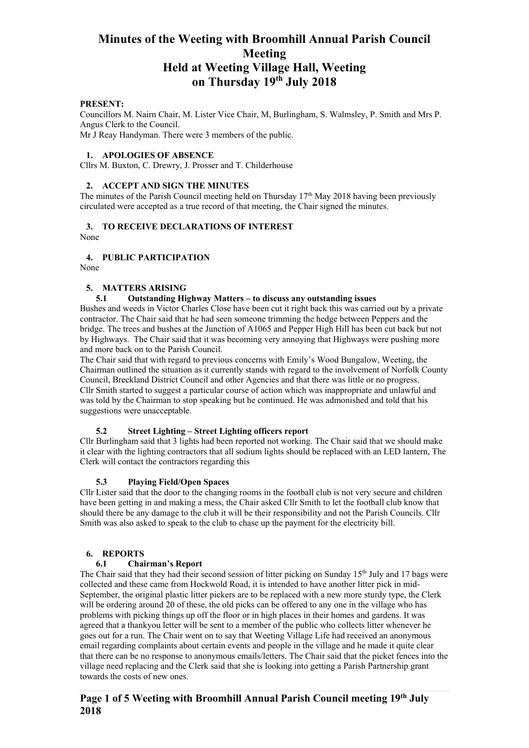#### **PRESENT:**

Councillors M. Nairn Chair, M. Lister Vice Chair, M, Burlingham, S. Walmsley, P. Smith and Mrs P. Angus Clerk to the Council. Mr J Reay Handyman. There were 3 members of the public.

### **1. APOLOGIES OF ABSENCE**

Cllrs M. Buxton, C. Drewry, J. Prosser and T. Childerhouse

### **2. ACCEPT AND SIGN THE MINUTES**

The minutes of the Parish Council meeting held on Thursday 17<sup>th</sup> May 2018 having been previously circulated were accepted as a true record of that meeting, the Chair signed the minutes.

#### **3. TO RECEIVE DECLARATIONS OF INTEREST**  None

## **4. PUBLIC PARTICIPATION**

None

## **5. MATTERS ARISING**

### **5.1 Outstanding Highway Matters – to discuss any outstanding issues**

Bushes and weeds in Victor Charles Close have been cut it right back this was carried out by a private contractor. The Chair said that he had seen someone trimming the hedge between Peppers and the bridge. The trees and bushes at the Junction of A1065 and Pepper High Hill has been cut back but not by Highways. The Chair said that it was becoming very annoying that Highways were pushing more and more back on to the Parish Council.

The Chair said that with regard to previous concerns with Emily's Wood Bungalow, Weeting, the Chairman outlined the situation as it currently stands with regard to the involvement of Norfolk County Council, Breckland District Council and other Agencies and that there was little or no progress. Cllr Smith started to suggest a particular course of action which was inappropriate and unlawful and was told by the Chairman to stop speaking but he continued. He was admonished and told that his suggestions were unacceptable.

#### **5.2 Street Lighting – Street Lighting officers report**

Cllr Burlingham said that 3 lights had been reported not working. The Chair said that we should make it clear with the lighting contractors that all sodium lights should be replaced with an LED lantern, The Clerk will contact the contractors regarding this

## **5.3 Playing Field/Open Spaces**

Cllr Lister said that the door to the changing rooms in the football club is not very secure and children have been getting in and making a mess, the Chair asked Cllr Smith to let the football club know that should there be any damage to the club it will be their responsibility and not the Parish Councils. Cllr Smith was also asked to speak to the club to chase up the payment for the electricity bill.

## **6. REPORTS**

#### **6.1 Chairman's Report**

The Chair said that they had their second session of litter picking on Sunday  $15<sup>th</sup>$  July and 17 bags were collected and these came from Hockwold Road, it is intended to have another litter pick in mid-September, the original plastic litter pickers are to be replaced with a new more sturdy type, the Clerk will be ordering around 20 of these, the old picks can be offered to any one in the village who has problems with picking things up off the floor or in high places in their homes and gardens. It was agreed that a thankyou letter will be sent to a member of the public who collects litter whenever he goes out for a run. The Chair went on to say that Weeting Village Life had received an anonymous email regarding complaints about certain events and people in the village and he made it quite clear that there can be no response to anonymous emails/letters. The Chair said that the picket fences into the village need replacing and the Clerk said that she is looking into getting a Parish Partnership grant towards the costs of new ones.

## **Page 1 of 5 Weeting with Broomhill Annual Parish Council meeting 19th July 2018**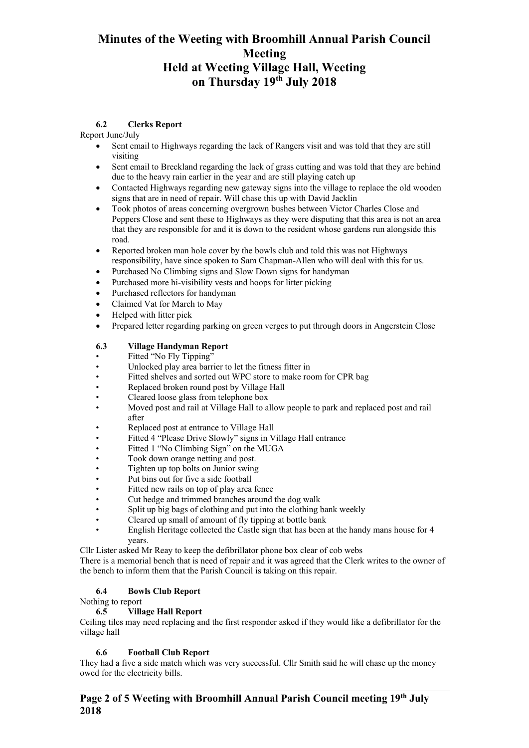## **6.2 Clerks Report**

### Report June/July

- Sent email to Highways regarding the lack of Rangers visit and was told that they are still visiting
- Sent email to Breckland regarding the lack of grass cutting and was told that they are behind due to the heavy rain earlier in the year and are still playing catch up
- Contacted Highways regarding new gateway signs into the village to replace the old wooden signs that are in need of repair. Will chase this up with David Jacklin
- Took photos of areas concerning overgrown bushes between Victor Charles Close and Peppers Close and sent these to Highways as they were disputing that this area is not an area that they are responsible for and it is down to the resident whose gardens run alongside this road.
- Reported broken man hole cover by the bowls club and told this was not Highways responsibility, have since spoken to Sam Chapman-Allen who will deal with this for us.
- Purchased No Climbing signs and Slow Down signs for handyman
- Purchased more hi-visibility vests and hoops for litter picking
- Purchased reflectors for handyman
- Claimed Vat for March to May
- Helped with litter pick
- Prepared letter regarding parking on green verges to put through doors in Angerstein Close

## **6.3 Village Handyman Report**

- Fitted "No Fly Tipping"
- Unlocked play area barrier to let the fitness fitter in
- Fitted shelves and sorted out WPC store to make room for CPR bag
- Replaced broken round post by Village Hall
- Cleared loose glass from telephone box
- Moved post and rail at Village Hall to allow people to park and replaced post and rail after
- Replaced post at entrance to Village Hall
- Fitted 4 "Please Drive Slowly" signs in Village Hall entrance
- Fitted 1 "No Climbing Sign" on the MUGA
- Took down orange netting and post.
- Tighten up top bolts on Junior swing
- Put bins out for five a side football
- Fitted new rails on top of play area fence
- Cut hedge and trimmed branches around the dog walk
- Split up big bags of clothing and put into the clothing bank weekly
- Cleared up small of amount of fly tipping at bottle bank
- English Heritage collected the Castle sign that has been at the handy mans house for 4 years.

Cllr Lister asked Mr Reay to keep the defibrillator phone box clear of cob webs

There is a memorial bench that is need of repair and it was agreed that the Clerk writes to the owner of the bench to inform them that the Parish Council is taking on this repair.

## **6.4 Bowls Club Report**

Nothing to report

## **6.5 Village Hall Report**

Ceiling tiles may need replacing and the first responder asked if they would like a defibrillator for the village hall

## **6.6 Football Club Report**

They had a five a side match which was very successful. Cllr Smith said he will chase up the money owed for the electricity bills.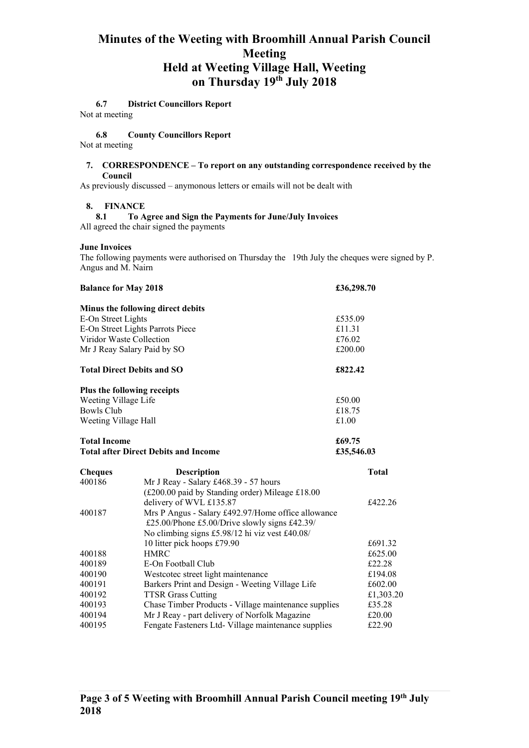## **6.7 District Councillors Report**

Not at meeting

### **6.8 County Councillors Report**

Not at meeting

#### **7. CORRESPONDENCE – To report on any outstanding correspondence received by the Council**

As previously discussed – anymonous letters or emails will not be dealt with

### **8. FINANCE**

**8.1 To Agree and Sign the Payments for June/July Invoices** All agreed the chair signed the payments

### **June Invoices**

The following payments were authorised on Thursday the 19th July the cheques were signed by P. Angus and M. Nairn

| <b>Balance for May 2018</b> |                                                      | £36,298.70 |              |
|-----------------------------|------------------------------------------------------|------------|--------------|
|                             | Minus the following direct debits                    |            |              |
| E-On Street Lights          |                                                      | £535.09    |              |
|                             | E-On Street Lights Parrots Piece                     | £11.31     |              |
| Viridor Waste Collection    |                                                      | £76.02     |              |
|                             | Mr J Reay Salary Paid by SO                          | £200.00    |              |
|                             | <b>Total Direct Debits and SO</b>                    | £822.42    |              |
|                             | Plus the following receipts                          |            |              |
| Weeting Village Life        |                                                      | £50.00     |              |
| <b>Bowls Club</b>           |                                                      | £18.75     |              |
| Weeting Village Hall        |                                                      | £1.00      |              |
| <b>Total Income</b>         |                                                      | £69.75     |              |
|                             | <b>Total after Direct Debits and Income</b>          | £35,546.03 |              |
| <b>Cheques</b>              | <b>Description</b>                                   |            | <b>Total</b> |
| 400186                      | Mr J Reay - Salary £468.39 - 57 hours                |            |              |
|                             | (£200.00 paid by Standing order) Mileage £18.00      |            |              |
|                             | delivery of WVL £135.87                              |            | £422.26      |
| 400187                      | Mrs P Angus - Salary £492.97/Home office allowance   |            |              |
|                             | £25.00/Phone £5.00/Drive slowly signs £42.39/        |            |              |
|                             | No climbing signs £5.98/12 hi viz vest £40.08/       |            |              |
|                             | 10 litter pick hoops £79.90                          |            | £691.32      |
| 400188                      | <b>HMRC</b>                                          |            | £625.00      |
| 400189                      | E-On Football Club                                   |            | £22.28       |
| 400190                      | Westcotec street light maintenance                   |            | £194.08      |
| 400191                      | Barkers Print and Design - Weeting Village Life      |            | £602.00      |
| 400192                      | <b>TTSR Grass Cutting</b>                            |            | £1,303.20    |
| 400193                      | Chase Timber Products - Village maintenance supplies |            | £35.28       |
| 400194                      | Mr J Reay - part delivery of Norfolk Magazine        |            | £20.00       |
| 400195                      | Fengate Fasteners Ltd- Village maintenance supplies  |            | £22.90       |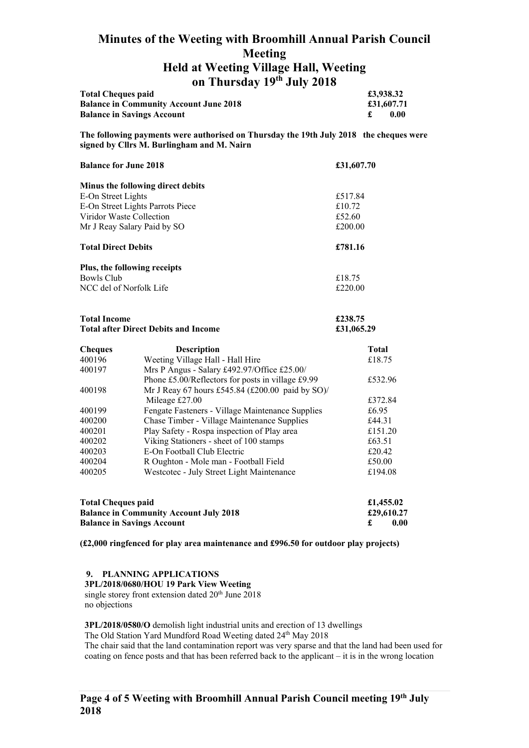|                                               | <b>UIL LIBRICAL LA JULY 4010</b> |           |
|-----------------------------------------------|----------------------------------|-----------|
| <b>Total Cheques paid</b>                     |                                  | £3,938.32 |
| <b>Balance in Community Account June 2018</b> |                                  | £31.607.7 |

| <b>Balance in Community Account June 2018</b> | £31,607.71 |       |
|-----------------------------------------------|------------|-------|
| <b>Balance in Savings Account</b>             |            | -0.00 |
|                                               |            |       |

**The following payments were authorised on Thursday the 19th July 2018 the cheques were signed by Cllrs M. Burlingham and M. Nairn** 

| <b>Balance for June 2018</b>      | £31,607.70 |
|-----------------------------------|------------|
| Minus the following direct debits |            |
| E-On Street Lights                | £517.84    |
| E-On Street Lights Parrots Piece  | £10.72     |
| Viridor Waste Collection          | £52.60     |
| Mr J Reay Salary Paid by SO       | £200.00    |
| <b>Total Direct Debits</b>        | £781.16    |
| Plus, the following receipts      |            |
| Bowls Club                        | £18.75     |
| NCC del of Norfolk Life           | £220.00    |

| <b>Total Income</b>                         | £238.75    |
|---------------------------------------------|------------|
| <b>Total after Direct Debits and Income</b> | £31,065.29 |

| <b>Cheques</b> | <b>Description</b>                                | <b>Total</b> |
|----------------|---------------------------------------------------|--------------|
| 400196         | Weeting Village Hall - Hall Hire                  | £18.75       |
| 400197         | Mrs P Angus - Salary £492.97/Office £25.00/       |              |
|                | Phone £5.00/Reflectors for posts in village £9.99 | £532.96      |
| 400198         | Mr J Reay 67 hours £545.84 (£200.00 paid by SO)/  |              |
|                | Mileage £27.00                                    | £372.84      |
| 400199         | Fengate Fasteners - Village Maintenance Supplies  | £6.95        |
| 400200         | Chase Timber - Village Maintenance Supplies       | £44.31       |
| 400201         | Play Safety - Rospa inspection of Play area       | £151.20      |
| 400202         | Viking Stationers - sheet of 100 stamps           | £63.51       |
| 400203         | E-On Football Club Electric                       | £20.42       |
| 400204         | R Oughton - Mole man - Football Field             | £50.00       |
| 400205         | Westcotec - July Street Light Maintenance         | £194.08      |

| <b>Total Cheques paid</b>                     | £1,455.02  |
|-----------------------------------------------|------------|
| <b>Balance in Community Account July 2018</b> | £29,610.27 |
| <b>Balance in Savings Account</b>             | 0.00       |

**(£2,000 ringfenced for play area maintenance and £996.50 for outdoor play projects)** 

#### **9. PLANNING APPLICATIONS**

**3PL/2018/0680/HOU 19 Park View Weeting** 

single storey front extension dated 20<sup>th</sup> June 2018 no objections

**3PL/2018/0580/O** demolish light industrial units and erection of 13 dwellings The Old Station Yard Mundford Road Weeting dated 24<sup>th</sup> May 2018

The chair said that the land contamination report was very sparse and that the land had been used for coating on fence posts and that has been referred back to the applicant – it is in the wrong location